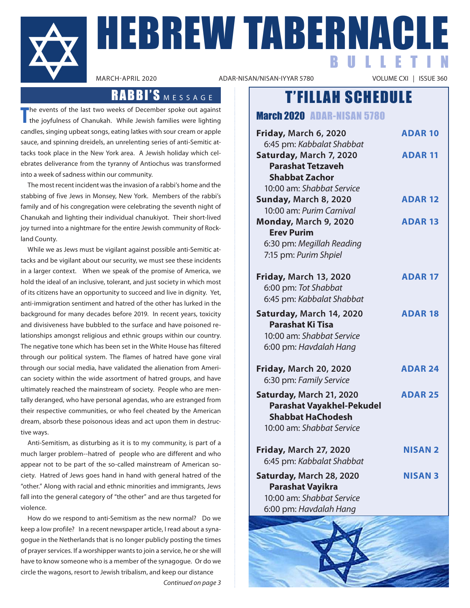

**HEBREW TABERNACLE** BULLETIN

ADAR-NISAN/NISAN-IYYAR 5780

### RABBI'S MESSAGE

**T** he events of the last two weeks of December spoke out against the joyfulness of Chanukah. While Jewish families were lighting candles, singing upbeat songs, eating latkes with sour cream or apple sauce, and spinning dreidels, an unrelenting series of anti-Semitic attacks took place in the New York area. A Jewish holiday which celebrates deliverance from the tyranny of Antiochus was transformed into a week of sadness within our community.

The most recent incident was the invasion of a rabbi's home and the stabbing of five Jews in Monsey, New York. Members of the rabbi's family and of his congregation were celebrating the seventh night of Chanukah and lighting their individual chanukiyot. Their short-lived joy turned into a nightmare for the entire Jewish community of Rockland County.

While we as Jews must be vigilant against possible anti-Semitic attacks and be vigilant about our security, we must see these incidents in a larger context. When we speak of the promise of America, we hold the ideal of an inclusive, tolerant, and just society in which most of its citizens have an opportunity to succeed and live in dignity. Yet, anti-immigration sentiment and hatred of the other has lurked in the background for many decades before 2019. In recent years, toxicity and divisiveness have bubbled to the surface and have poisoned relationships amongst religious and ethnic groups within our country. The negative tone which has been set in the White House has filtered through our political system. The flames of hatred have gone viral through our social media, have validated the alienation from American society within the wide assortment of hatred groups, and have ultimately reached the mainstream of society. People who are mentally deranged, who have personal agendas, who are estranged from their respective communities, or who feel cheated by the American dream, absorb these poisonous ideas and act upon them in destructive ways.

Anti-Semitism, as disturbing as it is to my community, is part of a much larger problem--hatred of people who are different and who appear not to be part of the so-called mainstream of American society. Hatred of Jews goes hand in hand with general hatred of the "other." Along with racial and ethnic minorities and immigrants, Jews fall into the general category of "the other" and are thus targeted for violence.

How do we respond to anti-Semitism as the new normal? Do we keep a low profile? In a recent newspaper article, I read about a synagogue in the Netherlands that is no longer publicly posting the times of prayer services. If a worshipper wants to join a service, he or she will have to know someone who is a member of the synagogue. Or do we circle the wagons, resort to Jewish tribalism, and keep our distance *Continued on page 3*

### T'FILLAH SCHEDULE

March 2020 ADAR-NISAN 5780

| Friday, March 6, 2020                                                                                                 | <b>ADAR 10</b> |
|-----------------------------------------------------------------------------------------------------------------------|----------------|
| 6:45 pm: Kabbalat Shabbat<br>Saturday, March 7, 2020<br><b>Parashat Tetzaveh</b><br><b>Shabbat Zachor</b>             | <b>ADAR 11</b> |
| 10:00 am: Shabbat Service                                                                                             |                |
| Sunday, March 8, 2020                                                                                                 | <b>ADAR 12</b> |
| 10:00 am: Purim Carnival                                                                                              |                |
| Monday, March 9, 2020                                                                                                 | <b>ADAR 13</b> |
| <b>Erev Purim</b>                                                                                                     |                |
| 6:30 pm: Megillah Reading                                                                                             |                |
| 7:15 pm: Purim Shpiel                                                                                                 |                |
| <b>Friday, March 13, 2020</b>                                                                                         | <b>ADAR 17</b> |
| 6:00 pm: Tot Shabbat                                                                                                  |                |
| 6:45 pm: Kabbalat Shabbat                                                                                             |                |
| Saturday, March 14, 2020<br><b>Parashat Ki Tisa</b><br>10:00 am: Shabbat Service<br>6:00 pm: Havdalah Hang            | <b>ADAR 18</b> |
| <b>Friday, March 20, 2020</b><br>6:30 pm: Family Service                                                              | <b>ADAR 24</b> |
| Saturday, March 21, 2020<br><b>Parashat Vayakhel-Pekudel</b><br><b>Shabbat HaChodesh</b><br>10:00 am: Shabbat Service | <b>ADAR 25</b> |
| <b>Friday, March 27, 2020</b><br>6:45 pm: Kabbalat Shabbat                                                            | <b>NISAN 2</b> |
| Saturday, March 28, 2020<br><b>Parashat Vayikra</b><br>10:00 am: Shabbat Service<br>6:00 pm: Havdalah Hang            | <b>NISAN 3</b> |
|                                                                                                                       |                |

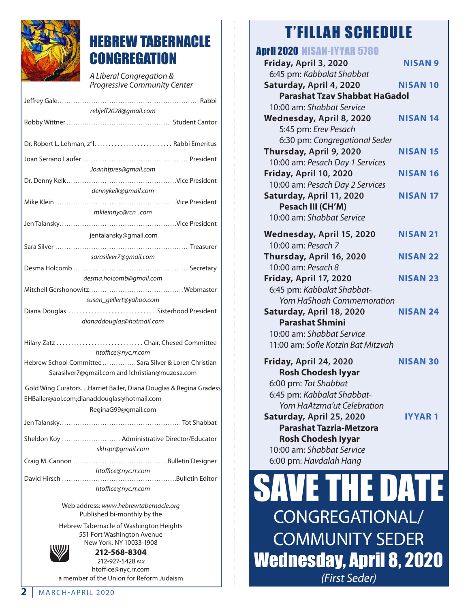

# HEBREW TABERNACLE **CONGREGATION**

*A Liberal Congregation & Progressive Community Center*

Jeffrey Gale . . Rabbi

| rebjeff2028@gmail.com                                              |  |  |
|--------------------------------------------------------------------|--|--|
|                                                                    |  |  |
|                                                                    |  |  |
|                                                                    |  |  |
|                                                                    |  |  |
|                                                                    |  |  |
| Joanhtpres@gmail.com                                               |  |  |
|                                                                    |  |  |
| dennykelk@gmail.com                                                |  |  |
|                                                                    |  |  |
| mkleinnyc@rcn .com                                                 |  |  |
|                                                                    |  |  |
| jentalansky@gmail.com                                              |  |  |
|                                                                    |  |  |
| sarasilver7@gmail.com                                              |  |  |
|                                                                    |  |  |
|                                                                    |  |  |
| desma.holcomb@gmail.com                                            |  |  |
|                                                                    |  |  |
| susan_gellert@yahoo.com                                            |  |  |
|                                                                    |  |  |
| dianaddouglas@hotmail.com                                          |  |  |
|                                                                    |  |  |
| Hilary Zatz Chair, Chesed Committee<br>htoffice@nyc.rr.com         |  |  |
| Hebrew School Committee  Sara Silver & Loren Christian             |  |  |
| Sarasilver7@gmail.com and lchristian@muzosa.com                    |  |  |
|                                                                    |  |  |
| Gold Wing Curators. Harriet Bailer, Diana Douglas & Regina Gradess |  |  |
| EHBailer@aol.com;dianaddouglas@hotmail.com                         |  |  |
| ReginaG99@gmail.com                                                |  |  |
|                                                                    |  |  |
|                                                                    |  |  |
| Sheldon Koy  Administrative Director/Educator                      |  |  |
| skhspr@gmail.com                                                   |  |  |
|                                                                    |  |  |
|                                                                    |  |  |
| htoffice@nyc.rr.com                                                |  |  |
|                                                                    |  |  |
| htoffice@nyc.rr.com                                                |  |  |

Web address: *www.hebrewtabernacle.org* Published bi-monthly by the

Hebrew Tabernacle of Washington Heights 551 Fort Washington Avenue New York, NY 10033-1908



**212-568-8304** 212-927-5428 *fax* htoffice@nyc.rr.com a member of the Union for Reform Judaism

# T'FILLAH SCHEDULE

| лчи                                  |                 |  |
|--------------------------------------|-----------------|--|
| <b>April 2020 NISAN-IYYAR 5780</b>   |                 |  |
| Friday, April 3, 2020                | <b>NISAN 9</b>  |  |
| 6:45 pm: Kabbalat Shabbat            |                 |  |
| Saturday, April 4, 2020              | <b>NISAN 10</b> |  |
| <b>Parashat Tzav Shabbat HaGadol</b> |                 |  |
| 10:00 am: Shabbat Service            |                 |  |
| Wednesday, April 8, 2020             | <b>NISAN 14</b> |  |
| 5:45 pm: Erev Pesach                 |                 |  |
| 6:30 pm: Congregational Seder        |                 |  |
| Thursday, April 9, 2020              | <b>NISAN 15</b> |  |
| 10:00 am: Pesach Day 1 Services      |                 |  |
| Friday, April 10, 2020               | <b>NISAN 16</b> |  |
| 10:00 am: Pesach Day 2 Services      |                 |  |
| Saturday, April 11, 2020             | <b>NISAN 17</b> |  |
| Pesach III (CH'M)                    |                 |  |
| 10:00 am: Shabbat Service            |                 |  |
| Wednesday, April 15, 2020            | <b>NISAN 21</b> |  |
| 10:00 am: Pesach 7                   |                 |  |
| Thursday, April 16, 2020             | <b>NISAN 22</b> |  |
| 10:00 am: Pesach 8                   |                 |  |
| <b>Friday, April 17, 2020</b>        | <b>NISAN 23</b> |  |
| 6:45 pm: Kabbalat Shabbat-           |                 |  |
| <b>Yom HaShoah Commemoration</b>     |                 |  |
| Saturday, April 18, 2020             | <b>NISAN 24</b> |  |
| <b>Parashat Shmini</b>               |                 |  |
| 10:00 am: Shabbat Service            |                 |  |
| 11:00 am: Sofie Kotzin Bat Mitzvah   |                 |  |
| Friday, April 24, 2020               | <b>NISAN 30</b> |  |
| <b>Rosh Chodesh Iyyar</b>            |                 |  |
| 6:00 pm: Tot Shabbat                 |                 |  |
| 6:45 pm: Kabbalat Shabbat-           |                 |  |
| Yom HaAtzma'ut Celebration           |                 |  |
| Saturday, April 25, 2020             | <b>IYYAR1</b>   |  |
| <b>Parashat Tazria-Metzora</b>       |                 |  |
| <b>Rosh Chodesh Iyyar</b>            |                 |  |
| 10:00 am: Shabbat Service            |                 |  |
| 6:00 pm: Havdalah Hang               |                 |  |
|                                      |                 |  |
| ANTE ST<br>lein 7. Gr                |                 |  |

SAVE THE DATE CONGREGATIONAL/ COMMUNITY SEDER Wednesday, April 8, 2020 *(First Seder)*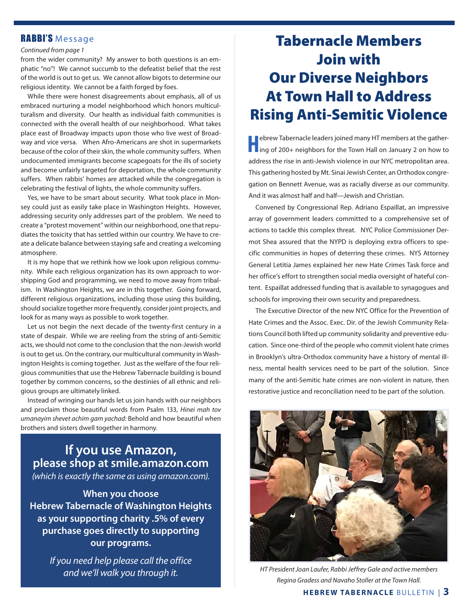### RABBI'S Message

### *Continued from page 1*

from the wider community? My answer to both questions is an emphatic "no"! We cannot succumb to the defeatist belief that the rest of the world is out to get us. We cannot allow bigots to determine our religious identity. We cannot be a faith forged by foes.

While there were honest disagreements about emphasis, all of us embraced nurturing a model neighborhood which honors multiculturalism and diversity. Our health as individual faith communities is connected with the overall health of our neighborhood. What takes place east of Broadway impacts upon those who live west of Broadway and vice versa. When Afro-Americans are shot in supermarkets because of the color of their skin, the whole community suffers. When undocumented immigrants become scapegoats for the ills of society and become unfairly targeted for deportation, the whole community suffers. When rabbis' homes are attacked while the congregation is celebrating the festival of lights, the whole community suffers.

Yes, we have to be smart about security. What took place in Monsey could just as easily take place in Washington Heights. However, addressing security only addresses part of the problem. We need to create a "protest movement" within our neighborhood, one that repudiates the toxicity that has settled within our country. We have to create a delicate balance between staying safe and creating a welcoming atmosphere.

It is my hope that we rethink how we look upon religious community. While each religious organization has its own approach to worshipping God and programming, we need to move away from tribalism. In Washington Heights, we are in this together. Going forward, different religious organizations, including those using this building, should socialize together more frequently, consider joint projects, and look for as many ways as possible to work together.

Let us not begin the next decade of the twenty-first century in a state of despair. While we are reeling from the string of anti-Semitic acts, we should not come to the conclusion that the non-Jewish world is out to get us. On the contrary, our multicultural community in Washington Heights is coming together. Just as the welfare of the four religious communities that use the Hebrew Tabernacle building is bound together by common concerns, so the destinies of all ethnic and religious groups are ultimately linked.

Instead of wringing our hands let us join hands with our neighbors and proclaim those beautiful words from Psalm 133, *Hinei mah tov umanayim shevet achim gam yachad:* Behold and how beautiful when brothers and sisters dwell together in harmony.

### **If you use Amazon, please shop at smile.amazon.com**

*(which is exactly the same as using amazon.com).*

**When you choose Hebrew Tabernacle of Washington Heights as your supporting charity .5% of every purchase goes directly to supporting our programs.**

*If you need help please call the office and we'll walk you through it.*

# Tabernacle Members Join with Our Diverse Neighbors At Town Hall to Address Rising Anti-Semitic Violence

**Hebrew Tabernacle leaders joined many HT members at the gather-<br>ing of 200+ neighbors for the Town Hall on January 2 on how to** address the rise in anti-Jewish violence in our NYC metropolitan area. This gathering hosted by Mt. Sinai Jewish Center, an Orthodox congregation on Bennett Avenue, was as racially diverse as our community. And it was almost half and half—Jewish and Christian.

Convened by Congressional Rep. Adriano Espaillat, an impressive array of government leaders committed to a comprehensive set of actions to tackle this complex threat. NYC Police Commissioner Dermot Shea assured that the NYPD is deploying extra officers to specific communities in hopes of deterring these crimes. NYS Attorney General Letitia James explained her new Hate Crimes Task force and her office's effort to strengthen social media oversight of hateful content. Espaillat addressed funding that is available to synagogues and schools for improving their own security and preparedness.

The Executive Director of the new NYC Office for the Prevention of Hate Crimes and the Assoc. Exec. Dir. of the Jewish Community Relations Council both lifted up community solidarity and preventive education. Since one-third of the people who commit violent hate crimes in Brooklyn's ultra-Orthodox community have a history of mental illness, mental health services need to be part of the solution. Since many of the anti-Semitic hate crimes are non-violent in nature, then restorative justice and reconciliation need to be part of the solution.



*HT President Joan Laufer, Rabbi Jeffrey Gale and active members Regina Gradess and Navaho Stoller at the Town Hall.*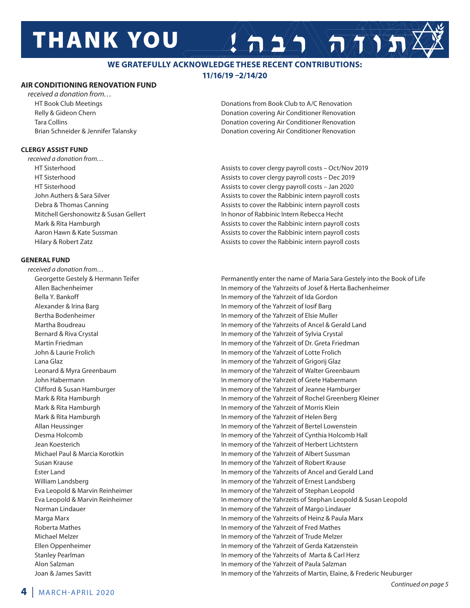# **THANK YOU**

### **WE GRATEFULLY ACKNOWLEDGE THESE RECENT CONTRIBUTIONS: 11/16/19 –2/14/20**

### **AIR CONDITIONING RENOVATION FUND**

*received a donation from…*

#### **CLERGY ASSIST FUND**

*received a donation from…*

#### **GENERAL FUND**

*received a donation from…*

 HT Book Club Meetings Donations from Book Club to A/C Renovation Relly & Gideon Chern **Donation covering Air Conditioner Renovation** Donation covering Air Conditioner Renovation Tara Collins Donation covering Air Conditioner Renovation Brian Schneider & Jennifer Talansky Donation covering Air Conditioner Renovation

 $A \geq 1$  and  $\sqrt{2}$ 

 HT Sisterhood Assists to cover clergy payroll costs – Oct/Nov 2019 HT Sisterhood Assists to cover clergy payroll costs – Dec 2019 HT Sisterhood Assists to cover clergy payroll costs – Jan 2020 John Authers & Sara Silver Assists to cover the Rabbinic intern payroll costs Debra & Thomas Canning **Assists to cover the Rabbinic intern payroll costs** Cover the Rabbinic intern payroll costs Mitchell Gershonowitz & Susan Gellert In honor of Rabbinic Intern Rebecca Hecht Mark & Rita Hamburgh **Assists to cover the Rabbinic intern payroll costs** Assists to cover the Rabbinic intern payroll costs Aaron Hawn & Kate Sussman Assists to cover the Rabbinic intern payroll costs Hilary & Robert Zatz **Assists to cover the Rabbinic intern payroll costs** Assists to cover the Rabbinic intern payroll costs

Georgette Gestely & Hermann Teifer **Permanently enter the name of Maria Sara Gestely into the Book of Life** Allen Bachenheimer **In memory of the Yahrzeits of Josef & Herta Bachenheimer In memory of the Yahrzeits of Josef & Herta Bachenheimer**  Bella Y. Bankoff In memory of the Yahrzeit of Ida Gordon Alexander & Irina Barg **In memory of the Yahrzeit of Iosif Barg** In memory of the Yahrzeit of Iosif Barg Bertha Bodenheimer **In memory of the Yahrzeit of Elsie Muller** In memory of the Yahrzeit of Elsie Muller Martha Boudreau **In memory of the Yahrzeits of Ancel & Gerald Land** In memory of the Yahrzeits of Ancel & Gerald Land Bernard & Riva Crystal In memory of the Yahrzeit of Sylvia Crystal Martin Friedman **In memory of the Yahrzeit of Dr. Greta Friedman**  John & Laurie Frolich In memory of the Yahrzeit of Lotte Frolich Lana Glaz In memory of the Yahrzeit of Grigorij Glaz Leonard & Myra Greenbaum In memory of the Yahrzeit of Walter Greenbaum John Habermann In memory of the Yahrzeit of Grete Habermann Clifford & Susan Hamburger In memory of the Yahrzeit of Jeanne Hamburger Mark & Rita Hamburgh In memory of the Yahrzeit of Rochel Greenberg Kleiner Mark & Rita Hamburgh **In memory of the Yahrzeit of Morris Klein**  Mark & Rita Hamburgh In memory of the Yahrzeit of Helen Berg Allan Heussinger **In memory of the Yahrzeit of Bertel Lowenstein**  Desma Holcomb In memory of the Yahrzeit of Cynthia Holcomb Hall Jean Koesterich In memory of the Yahrzeit of Herbert Lichtstern Michael Paul & Marcia Korotkin In memory of the Yahrzeit of Albert Sussman Susan Krause In memory of the Yahrzeit of Robert Krause Ester Land In memory of the Yahrzeits of Ancel and Gerald Land William Landsberg **In Market 2008** In memory of the Yahrzeit of Ernest Landsberg Eva Leopold & Marvin Reinheimer In memory of the Yahrzeit of Stephan Leopold Eva Leopold & Marvin Reinheimer In memory of the Yahrzeits of Stephan Leopold & Susan Leopold Norman Lindauer **In the United States In memory of the Yahrzeit of Margo Lindauer**  Marga Marx In memory of the Yahrzeits of Heinz & Paula Marx Roberta Mathes **In memory of the Yahrzeit of Fred Mathes** In memory of the Yahrzeit of Fred Mathes Michael Melzer In memory of the Yahrzeit of Trude Melzer Ellen Oppenheimer In memory of the Yahrzeit of Gerda Katzenstein Stanley Pearlman In memory of the Yahrzeits of Marta & Carl Herz Alon Salzman In memory of the Yahrzeit of Paula Salzman Joan & James Savitt In memory of the Yahrzeits of Martin, Elaine, & Frederic Neuburger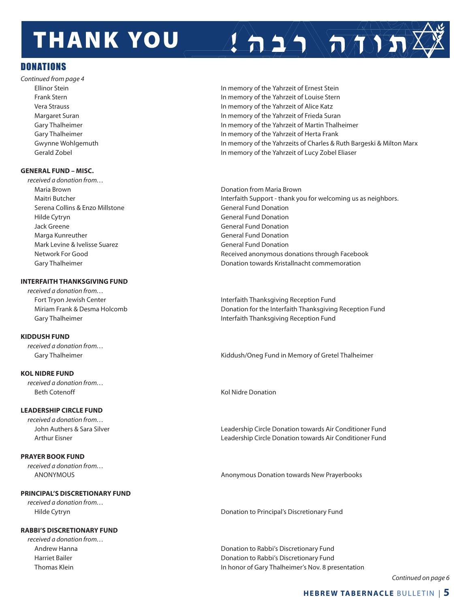# **THANK YOU**

### DONATIONS

*Continued from page 4*

### **GENERAL FUND – MISC.**

*received a donation from…* Maria Brown Donation from Maria Brown Serena Collins & Enzo Millstone General Fund Donation Hilde Cytryn General Fund Donation Jack Greene General Fund Donation Marga Kunreuther General Fund Donation Mark Levine & Ivelisse Suarez **General Fund Donation** General Fund Donation

### **INTERFAITH THANKSGIVING FUND**

*received a donation from…*

### **KIDDUSH FUND**

*received a donation from…* 

### **KOL NIDRE FUND**

*received a donation from…*  Beth Cotenoff Kol Nidre Donation

### **LEADERSHIP CIRCLE FUND**

*received a donation from…* 

### **PRAYER BOOK FUND**

*received a donation from…*

### **PRINCIPAL'S DISCRETIONARY FUND**

*received a donation from…* 

### **RABBI'S DISCRETIONARY FUND**

*received a donation from…*

 Ellinor Stein In memory of the Yahrzeit of Ernest Stein Frank Stern In memory of the Yahrzeit of Louise Stern Vera Strauss In memory of the Yahrzeit of Alice Katz Margaret Suran **In memory of the Yahrzeit of Frieda Suran** In memory of the Yahrzeit of Frieda Suran Gary Thalheimer **In the United States and Thallet** In memory of the Yahrzeit of Martin Thalheimer Gary Thalheimer **In memory of the Yahrzeit of Herta Frank** Gwynne Wohlgemuth **In memory of the Yahrzeits of Charles & Ruth Bargeski & Milton Marx** Gerald Zobel In memory of the Yahrzeit of Lucy Zobel Eliaser

 $\left( \left. \right. \right. \right)$   $\left( \left. \right. \right)$ 

Maitri Butcher **Interfaith Support - thank you for welcoming us as neighbors.**  Network For Good Received anonymous donations through Facebook Gary Thalheimer Donation towards Kristallnacht commemoration

Fort Tryon Jewish Center **Interfaith Thanksgiving Reception Fund**  Miriam Frank & Desma Holcomb Donation for the Interfaith Thanksgiving Reception Fund Gary Thalheimer **Interfaith Thanksgiving Reception Fund** 

Gary Thalheimer **Kiddush/Oneg Fund in Memory of Gretel Thalheimer** Kiddush/Oneg Fund in Memory of Gretel Thalheimer

 John Authers & Sara Silver Leadership Circle Donation towards Air Conditioner Fund Arthur Eisner Leadership Circle Donation towards Air Conditioner Fund

ANONYMOUS Anonymous Donation towards New Prayerbooks

Hilde Cytryn Donation to Principal's Discretionary Fund

 Andrew Hanna Donation to Rabbi's Discretionary Fund Harriet Bailer Donation to Rabbi's Discretionary Fund Thomas Klein In honor of Gary Thalheimer's Nov. 8 presentation

*Continued on page 6*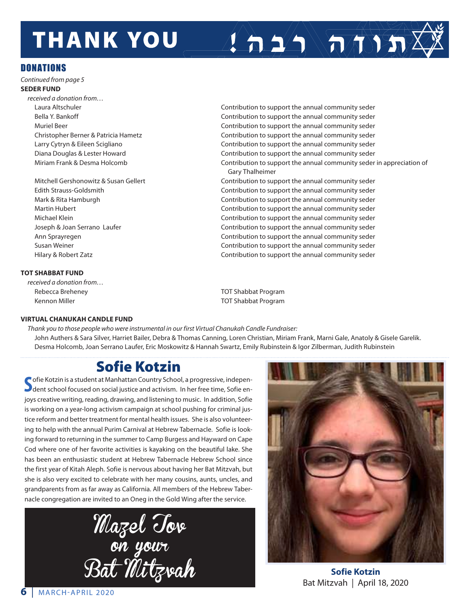# **THANK YOU**

### **DONATIONS**

*Continued from page 5*

### **SEDER FUND**

*received a donation from…* 

### **TOT SHABBAT FUND**

*received a donation from…*  Rebecca Breheney TOT Shabbat Program Kennon Miller TOT Shabbat Program

 Laura Altschuler Contribution to support the annual community seder Bella Y. Bankoff **Contribution is a support the annual community seder** Contribution to support the annual community seder Muriel Beer Contribution to support the annual community seder Christopher Berner & Patricia Hametz **Contribution to support the annual community seder** Contribution to support the annual community seder Larry Cytryn & Eileen Scigliano Contribution to support the annual community seder Diana Douglas & Lester Howard Contribution to support the annual community seder Miriam Frank & Desma Holcomb Contribution to support the annual community seder in appreciation of Gary Thalheimer

 $\sum_{i=1}^n \sum_{i=1}^n$ 

Mitchell Gershonowitz & Susan Gellert **Contribution to support the annual community seder** Contribution to support the annual community seder Edith Strauss-Goldsmith Contribution to support the annual community seder Mark & Rita Hamburgh Contribution to support the annual community seder Martin Hubert **Contribution** Contribution to support the annual community seder Michael Klein Contribution to support the annual community seder Joseph & Joan Serrano Laufer **Contribution to support the annual community seder** Contribution to support the annual community seder Ann Sprayregen Contribution to support the annual community seder Susan Weiner Contribution to support the annual community seder Hilary & Robert Zatz Contribution to support the annual community seder

### **VIRTUAL CHANUKAH CANDLE FUND**

*Thank you to those people who were instrumental in our first Virtual Chanukah Candle Fundraiser:* John Authers & Sara Silver, Harriet Bailer, Debra & Thomas Canning, Loren Christian, Miriam Frank, Marni Gale, Anatoly & Gisele Garelik. Desma Holcomb, Joan Serrano Laufer, Eric Moskowitz & Hannah Swartz, Emily Rubinstein & Igor Zilberman, Judith Rubinstein

### Sofie Kotzin

Sofie Kotzin is a student at Manhattan Country School, a progressive, indepen-<br>Sofie en-**J** dent school focused on social justice and activism. In her free time, Sofie enjoys creative writing, reading, drawing, and listening to music. In addition, Sofie is working on a year-long activism campaign at school pushing for criminal justice reform and better treatment for mental health issues. She is also volunteering to help with the annual Purim Carnival at Hebrew Tabernacle. Sofie is looking forward to returning in the summer to Camp Burgess and Hayward on Cape Cod where one of her favorite activities is kayaking on the beautiful lake. She has been an enthusiastic student at Hebrew Tabernacle Hebrew School since the first year of Kitah Aleph. Sofie is nervous about having her Bat Mitzvah, but she is also very excited to celebrate with her many cousins, aunts, uncles, and grandparents from as far away as California. All members of the Hebrew Tabernacle congregation are invited to an Oneg in the Gold Wing after the service.





**Sofie Kotzin** Bat Mitzvah | April 18, 2020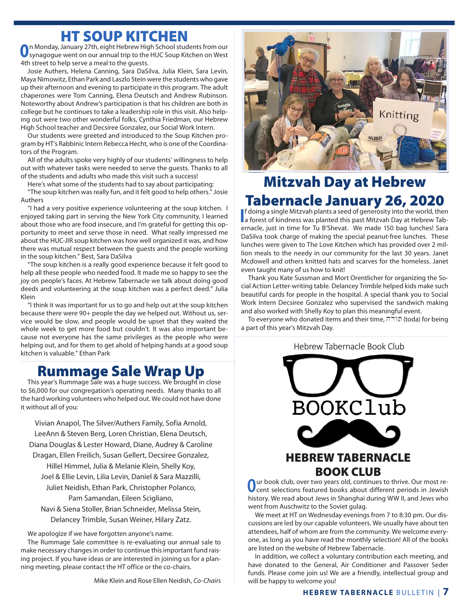### HT SOUP KITCHEN

**O**n Monday, January 27th, eight Hebrew High School students from our synagogue went on our annual trip to the HUC Soup Kitchen on West 4th street to help serve a meal to the guests.

Josie Authers, Helena Canning, Sara DaSilva, Julia Klein, Sara Levin, Maya Nimowitz, Ethan Park and Laszlo Stein were the students who gave up their afternoon and evening to participate in this program. The adult chaperones were Tom Canning, Elena Deutsch and Andrew Rubinson. Noteworthy about Andrew's participation is that his children are both in college but he continues to take a leadership role in this visit. Also helping out were two other wonderful folks, Cynthia Friedman, our Hebrew High School teacher and Decsiree Gonzalez, our Social Work Intern.

Our students were greeted and introduced to the Soup Kitchen program by HT's Rabbinic Intern Rebecca Hecht, who is one of the Coordinators of the Program.

All of the adults spoke very highly of our students' willingness to help out with whatever tasks were needed to serve the guests. Thanks to all of the students and adults who made this visit such a success!

Here's what some of the students had to say about participating: "The soup kitchen was really fun, and it felt good to help others." Josie Authers

"I had a very positive experience volunteering at the soup kitchen. I enjoyed taking part in serving the New York City community, I learned about those who are food insecure, and I'm grateful for getting this opportunity to meet and serve those in need. What really impressed me about the HUC-JIR soup kitchen was how well organized it was, and how there was mutual respect between the guests and the people working in the soup kitchen." Best, Sara DaSilva

"The soup kitchen is a really good experience because it felt good to help all these people who needed food. It made me so happy to see the joy on people's faces. At Hebrew Tabernacle we talk about doing good deeds and volunteering at the soup kitchen was a perfect deed." Julia Klein

"I think it was important for us to go and help out at the soup kitchen because there were 90+ people the day we helped out. Without us, service would be slow, and people would be upset that they waited the whole week to get more food but couldn't. It was also important because not everyone has the same privileges as the people who were helping out, and for them to get ahold of helping hands at a good soup kitchen is valuable." Ethan Park

## Rummage Sale Wrap Up

This year's Rummage Sale was a huge success. We brought in close to \$6,000 for our congregation's operating needs. Many thanks to all the hard working volunteers who helped out. We could not have done it without all of you:

Vivian Anapol, The Silver/Authers Family, Sofia Arnold, LeeAnn & Steven Berg, Loren Christian, Elena Deutsch, Diana Douglas & Lester Howard, Diane, Audrey & Caroline Dragan, Ellen Freilich, Susan Gellert, Decsiree Gonzalez, Hillel Himmel, Julia & Melanie Klein, Shelly Koy, Joel & Ellie Levin, Lilia Levin, Daniel & Sara Mazzilli, Juliet Neidish, Ethan Park, Christopher Polanco, Pam Samandan, Eileen Scigliano, Navi & Siena Stoller, Brian Schneider, Melissa Stein,

Delancey Trimble, Susan Weiner, Hilary Zatz.

We apologize if we have forgotten anyone's name.

The Rummage Sale committee is re-evaluating our annual sale to make necessary changes in order to continue this important fund raising project. If you have ideas or are interested in joining us for a planning meeting, please contact the HT office or the co-chairs.

Mike Klein and Rose Ellen Neidish, *Co-Chairs*



## Mitzvah Day at Hebrew Tabernacle January 26, 2020

**I**f doing a single Mitzvah plants a seed of generosity into the world, then a forest of kindness was planted this past Mitzvah Day at Hebrew Tabf doing a single Mitzvah plants a seed of generosity into the world, then ernacle, just in time for Tu B'Shevat. We made 150 bag lunches! Sara DaSilva took charge of making the special peanut-free lunches. These lunches were given to The Love Kitchen which has provided over 2 million meals to the needy in our community for the last 30 years. Janet Mcdowell and others knitted hats and scarves for the homeless. Janet even taught many of us how to knit!

Thank you Kate Sussman and Mort Orentlicher for organizing the Social Action Letter-writing table. Delancey Trimble helped kids make such beautiful cards for people in the hospital. A special thank you to Social Work Intern Decsiree Gonzalez who supervised the sandwich making and also worked with Shelly Koy to plan this meaningful event.

Hebrew Tabernacle Book Club To everyone who donated items and their time, חודה (toda) for being a part of this year's Mitzvah Day.

### Hebrew Tabernacle Book Club



*The Jew Store*, by Stella Suberman (1998) lections featured books about different periods.<br>' history. We read about Jews in Shanghai during WW II, and Jews who went from Auschwitz to the Soviet gulag. Our book club, over two years old, continues to thrive. Our most re-<br>Cent selections featured books about different periods in Jewish

We meet at HT on Wednesday evenings from 7 to 8:30 pm. Our discussions are led by our capable volunteers. We usually have about ten attendees, half of whom are from the community. We welcome everyone, as long as you have read the monthly selection! All of the books are listed on the website of Hebrew Tabernacle.

In addition, we collect a voluntary contribution each meeting, and have donated to the General, Air Conditioner and Passover Seder funds. Please come join us! We are a friendly, intellectual group and will be happy to welcome you!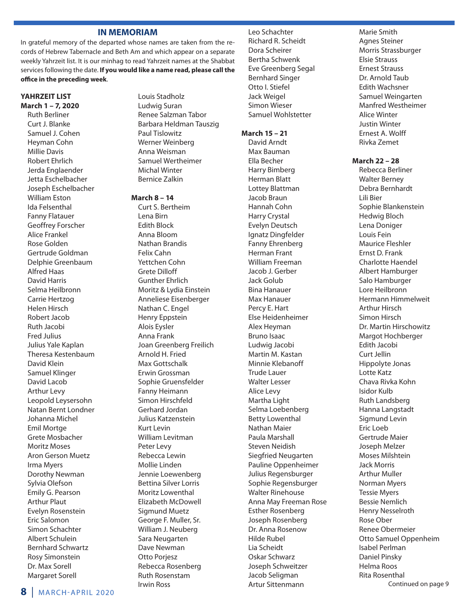### **IN MEMORIAM**

In grateful memory of the departed whose names are taken from the records of Hebrew Tabernacle and Beth Am and which appear on a separate weekly Yahrzeit list. It is our minhag to read Yahrzeit names at the Shabbat services following the date. **If you would like a name read, please call the office in the preceding week**.

#### **YAHRZEIT LIST March 1 – 7, 2020**

Ruth Berliner Curt J. Blanke Samuel J. Cohen Heyman Cohn Millie Davis Robert Ehrlich Jerda Englaender Jetta Eschelbacher Joseph Eschelbacher William Eston Ida Felsenthal Fanny Flatauer Geoffrey Forscher Alice Frankel Rose Golden Gertrude Goldman Delphie Greenbaum Alfred Haas David Harris Selma Heilbronn Carrie Hertzog Helen Hirsch Robert Jacob Ruth Jacobi Fred Julius Julius Yale Kaplan Theresa Kestenbaum David Klein Samuel Klinger David Lacob Arthur Levy Leopold Leysersohn Natan Bernt Londner Johanna Michel Emil Mortge Grete Mosbacher Moritz Moses Aron Gerson Muetz Irma Myers Dorothy Newman Sylvia Olefson Emily G. Pearson Arthur Plaut Evelyn Rosenstein Eric Salomon Simon Schachter Albert Schulein Bernhard Schwartz Rosy Simonstein Dr. Max Sorell Margaret Sorell

Louis Stadholz Ludwig Suran Renee Salzman Tabor Barbara Heldman Tauszig Paul Tislowitz Werner Weinberg Anna Weisman Samuel Wertheimer Michal Winter Bernice Zalkin

#### **March 8 – 14**

Curt S. Bertheim Lena Birn Edith Block Anna Bloom Nathan Brandis Felix Cahn Yettchen Cohn Grete Dilloff Gunther Ehrlich Moritz & Lydia Einstein Anneliese Eisenberger Nathan C. Engel Henry Eppstein Alois Eysler Anna Frank Joan Greenberg Freilich Arnold H. Fried Max Gottschalk Erwin Grossman Sophie Gruensfelder Fanny Heimann Simon Hirschfeld Gerhard Jordan Julius Katzenstein Kurt Levin William Levitman Peter Levy Rebecca Lewin Mollie Linden Jennie Loewenberg Bettina Silver Lorris Moritz Lowenthal Elizabeth McDowell Sigmund Muetz George F. Muller, Sr. William J. Neuberg Sara Neugarten Dave Newman Otto Porjesz Rebecca Rosenberg Ruth Rosenstam Irwin Ross

Leo Schachter Richard R. Scheidt Dora Scheirer Bertha Schwenk Eve Greenberg Segal Bernhard Singer Otto I. Stiefel Jack Weigel Simon Wieser Samuel Wohlstetter

#### **March 15 – 21**

David Arndt Max Bauman Ella Becher Harry Bimberg Herman Blatt Lottey Blattman Jacob Braun Hannah Cohn Harry Crystal Evelyn Deutsch Ignatz Dingfelder Fanny Ehrenberg Herman Frant William Freeman Jacob J. Gerber Jack Golub Bina Hanauer Max Hanauer Percy E. Hart Else Heidenheimer Alex Heyman Bruno Isaac Ludwig Jacobi Martin M. Kastan Minnie Klebanoff Trude Lauer Walter Lesser Alice Levy Martha Light Selma Loebenberg Betty Lowenthal Nathan Maier Paula Marshall Steven Neidish Siegfried Neugarten Pauline Oppenheimer Julius Regensburger Sophie Regensburger Walter Rinehouse Anna May Freeman Rose Esther Rosenberg Joseph Rosenberg Dr. Anna Rosenow Hilde Rubel Lia Scheidt Oskar Schwarz Joseph Schweitzer Jacob Seligman Artur Sittenmann

Marie Smith Agnes Steiner Morris Strassburger Elsie Strauss Ernest Strauss Dr. Arnold Taub Edith Wachsner Samuel Weingarten Manfred Westheimer Alice Winter Justin Winter Ernest A. Wolff Rivka Zemet

### **March 22 – 28**

Rebecca Berliner Walter Berney Debra Bernhardt Lili Bier Sophie Blankenstein Hedwig Bloch Lena Doniger Louis Fein Maurice Fleshler Ernst D. Frank Charlotte Haendel Albert Hamburger Salo Hamburger Lore Heilbronn Hermann Himmelweit Arthur Hirsch Simon Hirsch Dr. Martin Hirschowitz Margot Hochberger Edith Jacobi Curt Jellin Hippolyte Jonas Lotte Katz Chava Rivka Kohn Isidor Kulb Ruth Landsberg Hanna Langstadt Sigmund Levin Eric Loeb Gertrude Maier Joseph Melzer Moses Milshtein Jack Morris Arthur Muller Norman Myers Tessie Myers Bessie Nemlich Henry Nesselroth Rose Ober Renee Obermeier Otto Samuel Oppenheim Isabel Perlman Daniel Pinsky Helma Roos Rita Rosenthal Continued on page 9

**<sup>8</sup>** | MARCH-APRIL 2020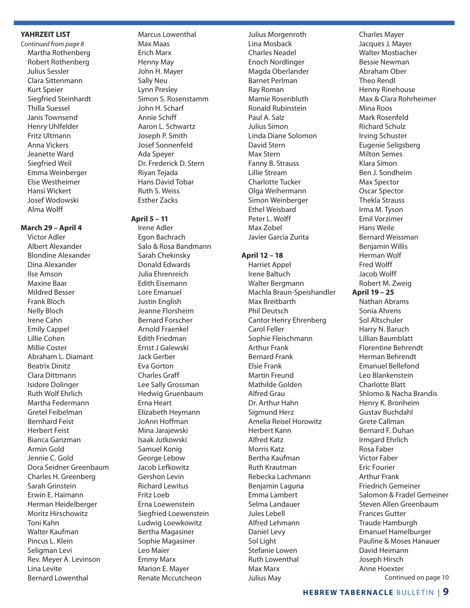### **YAHRZEIT LIST**

*Continued from page 8* Martha Rothenberg Robert Rothenberg Julius Sessler Clara Sittenmann Kurt Speier Siegfried Steinhardt Thilla Suessel Janis Townsend Henry Uhlfelder Fritz Ultmann Anna Vickers Jeanette Ward Siegfried Weil Emma Weinberger Else Westheimer Hansi Wickert Josef Wodowski Alma Wolff

### **March 29 – April 4**

Victor Adler Albert Alexander Blondine Alexander Dina Alexander Ilse Amson Maxine Baar Mildred Besser Frank Bloch Nelly Bloch Irene Cahn Emily Cappel Lillie Cohen Millie Coster Abraham L. Diamant Beatrix Dinitz Clara Dittmann Isidore Dolinger Ruth Wolf Ehrlich Martha Federmann Gretel Feibelman Bernhard Feist Herbert Feist Bianca Ganzman Armin Gold Jennie C. Gold Dora Seidner Greenbaum Charles H. Greenberg Sarah Grinstein Erwin E. Haimann Herman Heidelberger Moritz Hirschowitz Toni Kahn Walter Kaufman Pincus L. Klein Seligman Levi Rev. Meyer A. Levinson Lina Levite Bernard Lowenthal

Marcus Lowenthal Max Maas Erich Marx Henny May John H. Mayer Sally Neu Lynn Presley Simon S. Rosenstamm John H. Scharf Annie Schiff Aaron L. Schwartz Joseph P. Smith Josef Sonnenfeld Ada Speyer Dr. Frederick D. Stern Riyan Tejada Hans David Tobar Ruth S. Weiss Esther Zacks

#### **April 5 – 11**

Irene Adler Egon Bachrach Salo & Rosa Bandmann Sarah Chekinsky Donald Edwards Julia Ehrenreich Edith Eisemann Lore Emanuel Justin English Jeanne Florsheim Bernard Forscher Arnold Fraenkel Edith Friedman Ernst J Galewski Jack Gerber Eva Gorton Charles Graff Lee Sally Grossman Hedwig Gruenbaum Erna Heart Elizabeth Heymann JoAnn Hoffman Mina Jarajewski Isaak Jutkowski Samuel Konig George Lebow Jacob Lefkowitz Gershon Levin Richard Lewitus Fritz Loeb Erna Loewenstein Siegfried Loewenstein Ludwig Loewkowitz Bertha Magasiner Sophie Magasiner Leo Maier Emmy Marx Marion E. Mayer Renate Mccutcheon

Julius Morgenroth Lina Mosback Charles Neadel Enoch Nordlinger Magda Oberlander Barnet Perlman Ray Roman Mamie Rosenbluth Ronald Rubinstein Paul A. Salz Julius Simon Linda Diane Solomon David Stern Max Stern Fanny B. Strauss Lillie Stream Charlotte Tucker Olga Weihermann Simon Weinberger Ethel Weisbard Peter L. Wolff Max Zobel Javier Garcia Zurita

#### **April 12 – 18**

Harriet Appel Irene Baltuch Walter Bergmann Machla Braun-Speishandler Max Breitbarth Phil Deutsch Cantor Henry Ehrenberg Carol Feller Sophie Fleischmann Arthur Frank Bernard Frank Elsie Frank Martin Freund Mathilde Golden Alfred Grau Dr. Arthur Hahn Sigmund Herz Amelia Reisel Horowitz Herbert Kann Alfred Katz Morris Katz Bertha Kaufman Ruth Krautman Rebecka Lachmann Benjamin Laguna Emma Lambert Selma Landauer Jules Lebell Alfred Lehmann Daniel Levy Sol Light Stefanie Lowen Ruth Lowenthal Max Marx Julius May

Charles Mayer Jacques J. Mayer Walter Mosbacher Bessie Newman Abraham Ober Theo Rendl Henny Rinehouse Max & Clara Rohrheimer Mina Roos Mark Rosenfeld Richard Schulz Irving Schuster Eugenie Seligsberg Milton Semes Klara Simon Ben J. Sondheim Max Spector Oscar Spector Thekla Strauss Irma M. Tyson Emil Vorzimer Hans Weile Bernard Weissman Benjamin Willis Herman Wolf Fred Wolff Jacob Wolff Robert M. Zweig **April 19 – 25** Nathan Abrams Sonia Ahrens Sol Altschuler Harry N. Baruch Lillian Baumblatt Florentine Behrendt Herman Behrendt Emanuel Bellefond Leo Blankenstein Charlotte Blatt Shlomo & Nacha Brandis Henry K. Bronheim Gustav Buchdahl Grete Callman Bernard F. Duhan Irmgard Ehrlich Rosa Faber Victor Faber Eric Fourier Arthur Frank Friedrich Gemeiner Salomon & Fradel Gemeiner Steven Allen Greenbaum Frances Gutter Traude Hamburgh Emanuel Hamelburger Pauline & Moses Hanauer David Heimann Joseph Hirsch Anne Hoexter Continued on page 10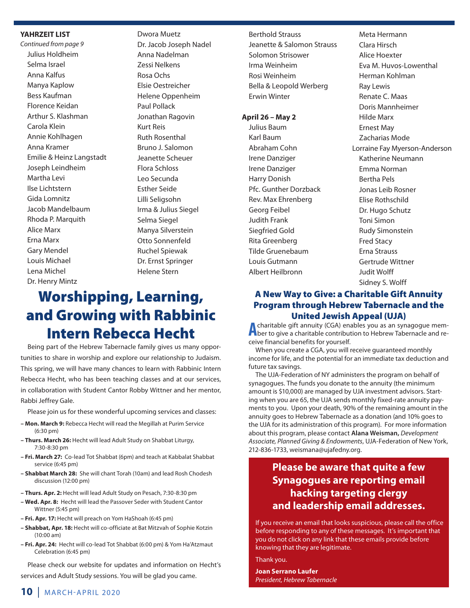### **YAHRZEIT LIST**

*Continued from page 9* Julius Holdheim Selma Israel Anna Kalfus Manya Kaplow Bess Kaufman Florence Keidan Arthur S. Klashman Carola Klein Annie Kohlhagen Anna Kramer Emilie & Heinz Langstadt Joseph Leindheim Martha Levi Ilse Lichtstern Gida Lomnitz Jacob Mandelbaum Rhoda P. Marquith Alice Marx Erna Marx Gary Mendel Louis Michael Lena Michel Dr. Henry Mintz

Dwora Muetz Dr. Jacob Joseph Nadel Anna Nadelman Zessi Nelkens Rosa Ochs Elsie Oestreicher Helene Oppenheim Paul Pollack Jonathan Ragovin Kurt Reis Ruth Rosenthal Bruno J. Salomon Jeanette Scheuer Flora Schloss Leo Secunda Esther Seide Lilli Seligsohn Irma & Julius Siegel Selma Siegel Manya Silverstein Otto Sonnenfeld Ruchel Spiewak Dr. Ernst Springer Helene Stern

# Worshipping, Learning, and Growing with Rabbinic Intern Rebecca Hecht

Being part of the Hebrew Tabernacle family gives us many opportunities to share in worship and explore our relationship to Judaism. This spring, we will have many chances to learn with Rabbinic Intern Rebecca Hecht, who has been teaching classes and at our services, in collaboration with Student Cantor Robby Wittner and her mentor, Rabbi Jeffrey Gale.

Please join us for these wonderful upcoming services and classes:

- **Mon. March 9:** Rebecca Hecht will read the Megillah at Purim Service (6:30 pm)
- **Thurs. March 26:** Hecht will lead Adult Study on Shabbat Liturgy, 7:30-8:30 pm
- **Fri. March 27:** Co-lead Tot Shabbat (6pm) and teach at Kabbalat Shabbat service (6:45 pm)
- **Shabbat March 28:** She will chant Torah (10am) and lead Rosh Chodesh discussion (12:00 pm)
- **Thurs. Apr. 2:** Hecht will lead Adult Study on Pesach, 7:30-8:30 pm
- **Wed. Apr. 8:** Hecht will lead the Passover Seder with Student Cantor Wittner (5:45 pm)
- **Fri. Apr. 17:** Hecht will preach on Yom HaShoah (6:45 pm)
- **Shabbat, Apr. 18:** Hecht will co-officiate at Bat Mitzvah of Sophie Kotzin (10:00 am)
- **Fri. Apr. 24:** Hecht will co-lead Tot Shabbat (6:00 pm) & Yom Ha'Atzmaut Celebration (6:45 pm)

Please check our website for updates and information on Hecht's services and Adult Study sessions. You will be glad you came.

Berthold Strauss Jeanette & Salomon Strauss Solomon Strisower Irma Weinheim Rosi Weinheim Bella & Leopold Werberg Erwin Winter

#### **April 26 – May 2**

Julius Baum Karl Baum Abraham Cohn Irene Danziger Irene Danziger Harry Donish Pfc. Gunther Dorzback Rev. Max Ehrenberg Georg Feibel Judith Frank Siegfried Gold Rita Greenberg Tilde Gruenebaum Louis Gutmann Albert Heilbronn

Meta Hermann Clara Hirsch Alice Hoexter Eva M. Huvos-Lowenthal Herman Kohlman Ray Lewis Renate C. Maas Doris Mannheimer Hilde Marx Ernest May Zacharias Mode Lorraine Fay Myerson-Anderson Katherine Neumann Emma Norman Bertha Pels Jonas Leib Rosner Elise Rothschild Dr. Hugo Schutz Toni Simon Rudy Simonstein Fred Stacy Erna Strauss Gertrude Wittner Judit Wolff Sidney S. Wolff

### A New Way to Give: a Charitable Gift Annuity Program through Hebrew Tabernacle and the **United Jewish Appeal (UJA)**<br>charitable gift annuity (CGA) enables you as an synagogue mem-

Acharitable gift annuity (CGA) enables you as an synagogue mem-<br>Aber to give a charitable contribution to Hebrew Tabernacle and receive financial benefits for yourself.

When you create a CGA, you will receive guaranteed monthly income for life, and the potential for an immediate tax deduction and future tax savings.

The UJA-Federation of NY administers the program on behalf of synagogues. The funds you donate to the annuity (the minimum amount is \$10,000) are managed by UJA investment advisors. Starting when you are 65, the UJA sends monthly fixed-rate annuity payments to you. Upon your death, 90% of the remaining amount in the annuity goes to Hebrew Tabernacle as a donation (and 10% goes to the UJA for its administration of this program). For more information about this program, please contact **Alana Weisman,** *Development Associate, Planned Giving & Endowments*, UJA-Federation of New York, 212-836-1733, weismana@ujafedny.org.

### **Please be aware that quite a few Synagogues are reporting email hacking targeting clergy and leadership email addresses.**

If you receive an email that looks suspicious, please call the office before responding to any of these messages. It's important that you do not click on any link that these emails provide before knowing that they are legitimate.

Thank you.

**Joan Serrano Laufer** *President, Hebrew Tabernacle*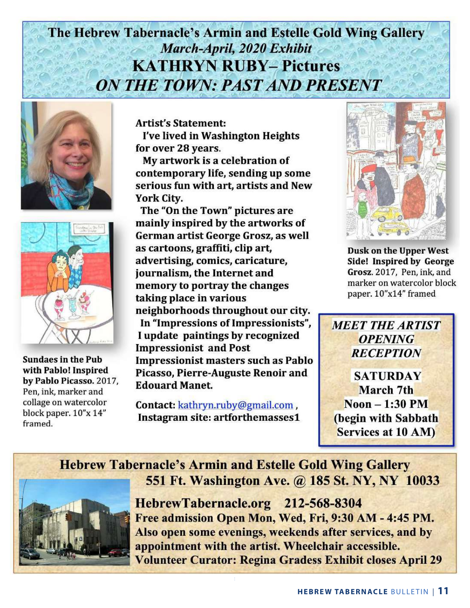# The Hebrew Tabernacle's Armin and Estelle Gold Wing Gallery March-April, 2020 Exhibit **KATHRYN RUBY-Pictures ON THE TOWN: PAST AND PRESENT**





**Sundaes in the Pub** with Pablo! Inspired by Pablo Picasso. 2017. Pen, ink, marker and collage on watercolor block paper. 10"x 14" framed.

**Artist's Statement:** 

I've lived in Washington Heights for over 28 years.

My artwork is a celebration of contemporary life, sending up some serious fun with art, artists and New York City.

The "On the Town" pictures are mainly inspired by the artworks of German artist George Grosz, as well as cartoons, graffiti, clip art, advertising, comics, caricature, journalism, the Internet and memory to portray the changes taking place in various neighborhoods throughout our city. In "Impressions of Impressionists", I update paintings by recognized **Impressionist and Post Impressionist masters such as Pablo** Picasso, Pierre-Auguste Renoir and **Edouard Manet.** 

Contact: kathryn.ruby@gmail.com, Instagram site: artforthemasses1



**Dusk on the Upper West** Side! Inspired by George Grosz. 2017, Pen, ink, and marker on watercolor block paper. 10"x14" framed



**SATURDAY** March 7th  $Noon - 1:30 PM$ (begin with Sabbath) Services at 10 AM)



**Hebrew Tabernacle's Armin and Estelle Gold Wing Gallery** 551 Ft. Washington Ave. @ 185 St. NY, NY 10033

> HebrewTabernacle.org 212-568-8304 Free admission Open Mon, Wed, Fri, 9:30 AM - 4:45 PM. Also open some evenings, weekends after services, and by appointment with the artist. Wheelchair accessible. **Volunteer Curator: Regina Gradess Exhibit closes April 29**